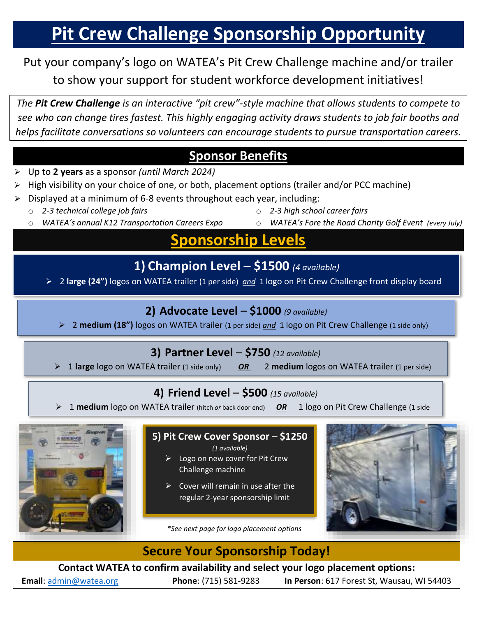# **Pit Crew Challenge Sponsorship Opportunity**

## Put your company's logo on WATEA's Pit Crew Challenge machine and/or trailer to show your support for student workforce development initiatives!

*The Pit Crew Challenge is an interactive "pit crew"-style machine that allows students to compete to see who can change tires fastest. This highly engaging activity draws students to job fair booths and helps facilitate conversations so volunteers can encourage students to pursue transportation careers.*

## **Sponsor Benefits**

- ➢ Up to **2 years** as a sponsor *(until March 2024)*
- High visibility on your choice of one, or both, placement options (trailer and/or PCC machine)
- ➢ Displayed at a minimum of 6-8 events throughout each year, including:
	- 2-3 technical college job fairs
	- o *WATEA's annual K12 Transportation Careers Expo*
- o *2-3 high school career fairs*
- o *WATEA's Fore the Road Charity Golf Event (every July)*

## **Sponsorship Levels**

**1) Champion Level** – **\$1500** *(4 available)*

➢ 2 **large (24")** logos on WATEA trailer (1 per side) *and* 1 logo on Pit Crew Challenge front display board

## **2) Advocate Level** – **\$1000** *(9 available)*

➢ 2 **medium (18")** logos on WATEA trailer (1 per side) *and* 1 logo on Pit Crew Challenge (1 side only)

#### **3) Partner Level** – **\$750** *(12 available)*

➢ 1 **large** logo on WATEA trailer (1 side only) *OR* 2 **medium** logos on WATEA trailer (1 per side)

## **4) Friend Level** – **\$500** *(15 available)*

➢ 1 **medium** logo on WATEA trailer (hitch *or* back door end) *OR* 1 logo on Pit Crew Challenge (1 side

only)



#### **5) Pit Crew Cover Sponsor** – **\$1250**

*(1 available)*

- $\triangleright$  Logo on new cover for Pit Crew Challenge machine
- $\triangleright$  Cover will remain in use after the regular 2-year sponsorship limit

*\*See next page for logo placement options*



## **Secure Your Sponsorship Today!**

**Contact WATEA to confirm availability and select your logo placement options:**

**Email**: [admin@watea.org](mailto:admin@watea.org) **Phone**: (715) 581-9283 **In Person**: 617 Forest St, Wausau, WI 54403